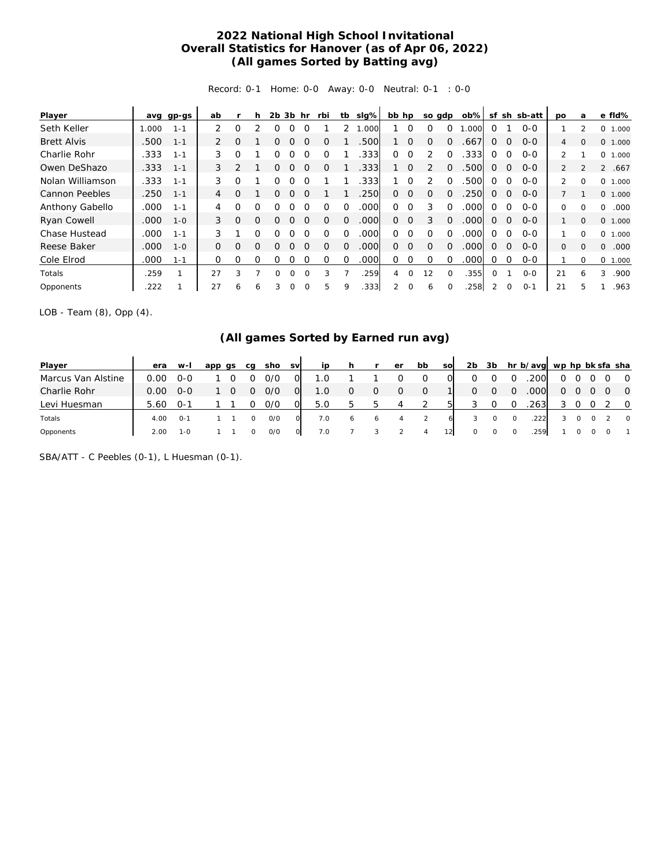## **2022 National High School Invitational Overall Statistics for Hanover (as of Apr 06, 2022) (All games Sorted by Batting avg)**

Record: 0-1 Home: 0-0 Away: 0-0 Neutral: 0-1 : 0-0

| Player                |       | avg gp-gs | ab       |          | h        | $2b$ $3b$ |          | hr       | rbi      |          | tb sig%           | bb hp    |                | so gdp         |          | $ob\%$ | sf           |             | sh sb-att | <b>DO</b>      | a              | e fld%            |
|-----------------------|-------|-----------|----------|----------|----------|-----------|----------|----------|----------|----------|-------------------|----------|----------------|----------------|----------|--------|--------------|-------------|-----------|----------------|----------------|-------------------|
| Seth Keller           | 1.000 | $1 - 1$   | 2        | 0        |          | Ω         |          |          |          |          | .000              |          | $\Omega$       | $\Omega$       | $\Omega$ | .000   | 0            |             | $0 - 0$   |                | 2              | 0<br>1.000        |
| <b>Brett Alvis</b>    | .500  | $1 - 1$   | 2        | $\Omega$ |          | 0         | Ο        | $\Omega$ | $\Omega$ |          | .500              |          | $\Omega$       | $\Omega$       | $\Omega$ | .667   | $\Omega$     | $\Omega$    | $O - O$   | $\overline{4}$ | $\Omega$       | O.<br>1.000       |
| Charlie Rohr          | .333  | $1 - 1$   | 3        | O        |          |           |          |          | Ω        |          | .333              | 0        | $\Omega$       | $\mathfrak{D}$ | $\Omega$ | .333   | $\Omega$     | $\Omega$    | $O-O$     | $\overline{2}$ |                | 0<br>1.000        |
| Owen DeShazo          | .333  | $1 - 1$   | 3        | 2        |          | 0         | O        | $\Omega$ | $\Omega$ |          | .333              |          | $\Omega$       | 2              | $\Omega$ | .500   | $\Omega$     | $\Omega$    | $O - O$   | $\overline{2}$ | $\mathfrak{D}$ | 2<br>.667         |
| Nolan Williamson      | .333  | $1 - 1$   | 3        | 0        |          | O         |          |          |          |          | .333              |          | $\Omega$       |                | $\Omega$ | 500    | $\Omega$     | 0           | $0 - 0$   | $\mathcal{L}$  | $\Omega$       | $\Omega$<br>1.000 |
| <b>Cannon Peebles</b> | .250  | $1 - 1$   | 4        | O        |          | 0         | $\Omega$ | $\Omega$ |          |          | .250              | $\Omega$ | $\Omega$       | $\mathbf 0$    | $\Omega$ | .250   | $\Omega$     | 0           | $0 - 0$   |                |                | 0 1.000           |
| Anthony Gabello       | .000  | $1 - 1$   | 4        | Ω        | O        | Ω         | 0        | $\Omega$ | $\Omega$ | $\Omega$ | .000              | $\Omega$ | $\Omega$       | 3              | $\Omega$ | .000   | $\Omega$     | $\Omega$    | $O-O$     | 0              | $\Omega$       | $\Omega$<br>.000  |
| Ryan Cowell           | .000  | $1 - 0$   | 3        | $\Omega$ | $\Omega$ | $\Omega$  |          | $\Omega$ | $\Omega$ | $\Omega$ | .000              | $\Omega$ | $\overline{0}$ | 3              | $\Omega$ | .000   | $\Omega$     | $\mathbf 0$ | $0 - 0$   |                | $\Omega$       | 0<br>1.000        |
| Chase Hustead         | .000  | $1 - 1$   | 3        |          | O        | ∩         |          |          | ∩        | $\Omega$ | .000              | 0        | $\Omega$       | $\Omega$       | $\Omega$ | .000   | $\Omega$     | $\Omega$    | $O-O$     | 1              | $\Omega$       | 0<br>1.000        |
| Reese Baker           | .000  | $1 - 0$   | $\Omega$ | O        | $\Omega$ | Ω         |          | $\Omega$ | O        | $\Omega$ | .000 <sub>1</sub> | 0        | $\Omega$       | $\Omega$       | $\Omega$ | .000   | $\Omega$     | $\Omega$    | $O-O$     | $\Omega$       | $\Omega$       | .000<br>0         |
| Cole Elrod            | .000  | $1 - 1$   | 0        | Ω        | $\Omega$ | Ω         |          |          | $\Omega$ | $\Omega$ | .000              | 0        | $\Omega$       | $\Omega$       | $\Omega$ | .000   |              | $\Omega$    | $0 - 0$   |                | $\Omega$       | $\Omega$<br>1.000 |
| Totals                | .259  |           | 27       | 3        |          | 0         | $\Omega$ | $\Omega$ | 3        |          | 259               | 4        | $\Omega$       | 12             | $\Omega$ | .355   | <sup>o</sup> |             | $O-O$     | 21             | 6              | 3<br>.900         |
| Opponents             | .222  |           | 27       | 6        | 6        | 3         | 0        |          | 5        | 9        | .333              |          | $\Omega$       | 6              |          | 258    | 2            | $\mathbf 0$ | $0 - 1$   | 21             | 5              | .963              |

LOB - Team (8), Opp (4).

## **(All games Sorted by Earned run avg)**

| Player             | era  | w-l          | app<br>as | ca | sho | <b>SV</b> | ip  |   |              | er | bb | <b>SO</b> | 2b | 3b |          | hr b/avg wp hp bk sfa sha |   |   |              |                    |                |
|--------------------|------|--------------|-----------|----|-----|-----------|-----|---|--------------|----|----|-----------|----|----|----------|---------------------------|---|---|--------------|--------------------|----------------|
| Marcus Van Alstine | 0.00 | -00          |           |    | 0/0 | O         | 1.0 |   |              |    | 0  |           |    |    | $\Omega$ | .200                      | 0 |   |              |                    | $\overline{0}$ |
| Charlie Rohr       | 0.00 | $O-O$        |           |    | 0/0 | 01        | 1.0 |   | 0            | 0  | 0  |           | O  | O  | $\Omega$ | .000                      | 0 | 0 | <sup>O</sup> |                    | $\overline{0}$ |
| Levi Huesman       | 5.60 | . ი - 1      |           |    | 0/0 |           | 5.0 |   | $\mathbf{b}$ | 4  |    |           |    |    | $\Omega$ | .263                      |   |   |              |                    | $\circ$        |
| Totals             | 4.00 | O-1          |           |    | O/O |           | 7.0 | 6 | $\circ$      |    |    | 6         |    |    |          | .222                      |   |   |              |                    | $\circ$        |
| Opponents          | 2.00 | $1 - \Omega$ |           |    | O/O |           | 7.0 |   |              |    | 4  |           | 0  |    |          | .259                      |   |   |              | $\left($ $\right)$ |                |

SBA/ATT - C Peebles (0-1), L Huesman (0-1).